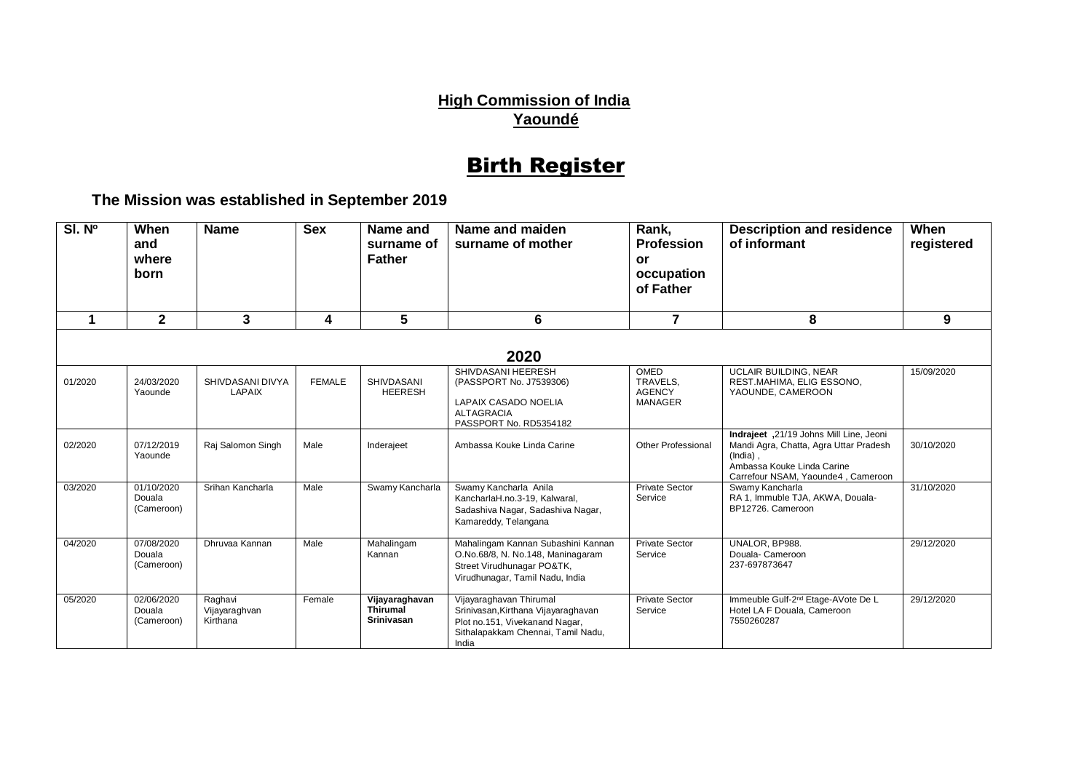## **High Commission of India Yaoundé**

## Birth Register

**The Mission was established in September 2019**

| SI. Nº  | When<br>and<br>where<br>born       | <b>Name</b>                          | <b>Sex</b>    | Name and<br>surname of<br><b>Father</b>                | Name and maiden<br>surname of mother                                                                                                            | Rank,<br><b>Profession</b><br>or<br>occupation<br>of Father | <b>Description and residence</b><br>of informant                                                                                                                  | When<br>registered |  |  |  |  |
|---------|------------------------------------|--------------------------------------|---------------|--------------------------------------------------------|-------------------------------------------------------------------------------------------------------------------------------------------------|-------------------------------------------------------------|-------------------------------------------------------------------------------------------------------------------------------------------------------------------|--------------------|--|--|--|--|
| 1       | $\mathbf{2}$                       | 3                                    | 4             | 5                                                      | 6                                                                                                                                               | $\overline{7}$                                              | 8                                                                                                                                                                 | 9                  |  |  |  |  |
| 2020    |                                    |                                      |               |                                                        |                                                                                                                                                 |                                                             |                                                                                                                                                                   |                    |  |  |  |  |
| 01/2020 | 24/03/2020<br>Yaounde              | SHIVDASANI DIVYA<br><b>LAPAIX</b>    | <b>FEMALE</b> | <b>SHIVDASANI</b><br><b>HEERESH</b>                    | SHIVDASANI HEERESH<br>(PASSPORT No. J7539306)<br>LAPAIX CASADO NOELIA<br><b>ALTAGRACIA</b><br>PASSPORT No. RD5354182                            | OMED<br>TRAVELS,<br><b>AGENCY</b><br><b>MANAGER</b>         | UCLAIR BUILDING, NEAR<br>REST.MAHIMA, ELIG ESSONO,<br>YAOUNDE, CAMEROON                                                                                           | 15/09/2020         |  |  |  |  |
| 02/2020 | 07/12/2019<br>Yaounde              | Raj Salomon Singh                    | Male          | Inderajeet                                             | Ambassa Kouke Linda Carine                                                                                                                      | <b>Other Professional</b>                                   | Indrajeet, 21/19 Johns Mill Line, Jeoni<br>Mandi Agra, Chatta, Agra Uttar Pradesh<br>(India).<br>Ambassa Kouke Linda Carine<br>Carrefour NSAM, Yaounde4, Cameroon | 30/10/2020         |  |  |  |  |
| 03/2020 | 01/10/2020<br>Douala<br>(Cameroon) | Srihan Kancharla                     | Male          | Swamy Kancharla                                        | Swamy Kancharla Anila<br>KancharlaH.no.3-19, Kalwaral,<br>Sadashiva Nagar, Sadashiva Nagar,<br>Kamareddy, Telangana                             | <b>Private Sector</b><br>Service                            | Swamy Kancharla<br>RA 1, Immuble TJA, AKWA, Douala-<br>BP12726. Cameroon                                                                                          | 31/10/2020         |  |  |  |  |
| 04/2020 | 07/08/2020<br>Douala<br>(Cameroon) | Dhruyaa Kannan                       | Male          | Mahalingam<br>Kannan                                   | Mahalingam Kannan Subashini Kannan<br>O.No.68/8, N. No.148, Maninagaram<br>Street Virudhunagar PO&TK,<br>Virudhunagar, Tamil Nadu, India        | <b>Private Sector</b><br>Service                            | UNALOR, BP988.<br>Douala-Cameroon<br>237-697873647                                                                                                                | 29/12/2020         |  |  |  |  |
| 05/2020 | 02/06/2020<br>Douala<br>(Cameroon) | Raghavi<br>Vijayaraghvan<br>Kirthana | Female        | Vijayaraghavan<br><b>Thirumal</b><br><b>Srinivasan</b> | Vijayaraghavan Thirumal<br>Srinivasan, Kirthana Vijayaraghavan<br>Plot no.151, Vivekanand Nagar,<br>Sithalapakkam Chennai, Tamil Nadu,<br>India | <b>Private Sector</b><br>Service                            | Immeuble Gulf-2 <sup>nd</sup> Etage-AVote De L<br>Hotel LA F Douala, Cameroon<br>7550260287                                                                       | 29/12/2020         |  |  |  |  |